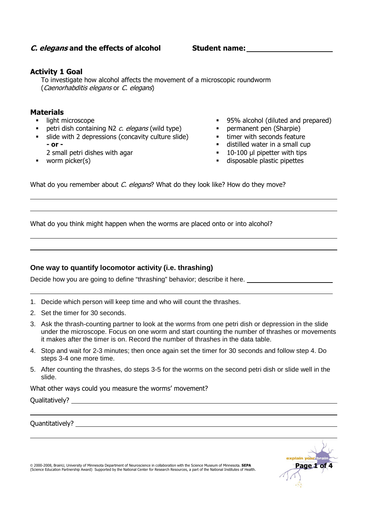# **C. elegans and the effects of alcohol**

**Student name:** 

# **Activity 1 Goal**

To investigate how alcohol affects the movement of a microscopic roundworm (Caenorhabditis elegans or C. elegans)

## **Materials**

- **I** light microscope
- petri dish containing N2  $c$ . elegans (wild type)
- slide with 2 depressions (concavity culture slide) **- or -** 
	- 2 small petri dishes with agar
- worm picker(s)
- **95% alcohol (diluted and prepared)**<br>**•** nermanent pen (Sharpie)
- permanent pen (Sharpie)
- **timer with seconds feature**
- distilled water in a small cup
- 10-100 µl pipetter with tips
- disposable plastic pipettes

What do you remember about C. elegans? What do they look like? How do they move?

What do you think might happen when the worms are placed onto or into alcohol?

## **One way to quantify locomotor activity (i.e. thrashing)**

Decide how you are going to define "thrashing" behavior; describe it here.

- 1. Decide which person will keep time and who will count the thrashes.
- 2. Set the timer for 30 seconds.
- 3. Ask the thrash-counting partner to look at the worms from one petri dish or depression in the slide under the microscope. Focus on one worm and start counting the number of thrashes or movements it makes after the timer is on. Record the number of thrashes in the data table.
- 4. Stop and wait for 2-3 minutes; then once again set the timer for 30 seconds and follow step 4. Do steps 3-4 one more time.
- 5. After counting the thrashes, do steps 3-5 for the worms on the second petri dish or slide well in the slide.

What other ways could you measure the worms' movement?

Qualitatively?

Quantitatively?

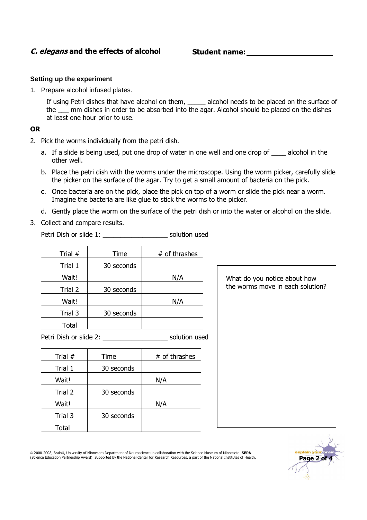# **C. elegans and the effects of alcohol**

 **Student name:** 

#### **Setting up the experiment**

1. Prepare alcohol infused plates.

If using Petri dishes that have alcohol on them, \_\_\_\_\_\_ alcohol needs to be placed on the surface of the  $\_\_\_\$ nm dishes in order to be absorbed into the agar. Alcohol should be placed on the dishes at least one hour prior to use.

## **OR**

- 2. Pick the worms individually from the petri dish.
	- a. If a slide is being used, put one drop of water in one well and one drop of alcohol in the other well.
	- b. Place the petri dish with the worms under the microscope. Using the worm picker, carefully slide the picker on the surface of the agar. Try to get a small amount of bacteria on the pick.
	- c. Once bacteria are on the pick, place the pick on top of a worm or slide the pick near a worm. Imagine the bacteria are like glue to stick the worms to the picker.
	- d. Gently place the worm on the surface of the petri dish or into the water or alcohol on the slide.
- 3. Collect and compare results.

Petri Dish or slide 1: example 1: solution used

| Trial #      | Time       | # of thrashes |
|--------------|------------|---------------|
| Trial 1      | 30 seconds |               |
| Wait!        |            | N/A           |
| Trial 2      | 30 seconds |               |
| Wait!        |            | N/A           |
| Trial 3      | 30 seconds |               |
| <b>Total</b> |            |               |

Petri Dish or slide 2: \_\_\_\_\_\_\_\_\_\_\_\_\_\_\_\_\_\_\_\_\_\_\_\_\_ solution used

| Trial # | Time       | # of thrashes |
|---------|------------|---------------|
| Trial 1 | 30 seconds |               |
| Wait!   |            | N/A           |
| Trial 2 | 30 seconds |               |
| Wait!   |            | N/A           |
| Trial 3 | 30 seconds |               |
| Total   |            |               |

What do you notice about how the worms move in each solution?

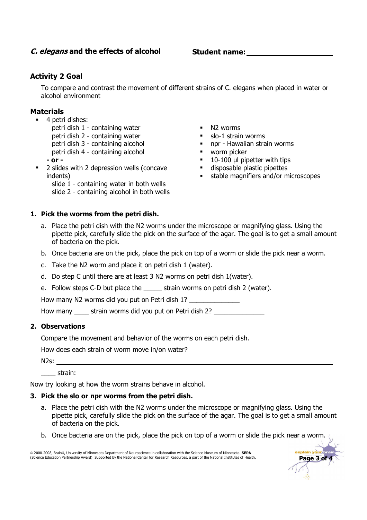# **C. elegans and the effects of alcohol**

 **Student name:** 

# **Activity 2 Goal**

To compare and contrast the movement of different strains of C. elegans when placed in water or alcohol environment

# **Materials**

- **4** petri dishes:
	- petri dish 1 containing water petri dish 2 - containing water petri dish 3 - containing alcohol
	- petri dish 4 containing alcohol
	- **or**
- **2** slides with 2 depression wells (concave indents)
	- slide 1 containing water in both wells
	- slide 2 containing alcohol in both wells
- **1. Pick the worms from the petri dish.**
- $N2$  worms
- **slo-1 strain worms**
- npr Hawaiian strain worms
- **•** worm picker
- 10-100 µl pipetter with tips
- disposable plastic pipettes
- stable magnifiers and/or microscopes

**Page 3 of 4** 

- a. Place the petri dish with the N2 worms under the microscope or magnifying glass. Using the pipette pick, carefully slide the pick on the surface of the agar. The goal is to get a small amount of bacteria on the pick.
- b. Once bacteria are on the pick, place the pick on top of a worm or slide the pick near a worm.
- c. Take the N2 worm and place it on petri dish 1 (water).
- d. Do step C until there are at least 3 N2 worms on petri dish 1(water).
- e. Follow steps C-D but place the strain worms on petri dish 2 (water).

How many N2 worms did you put on Petri dish 1?

How many strain worms did you put on Petri dish 2?

# **2. Observations**

Compare the movement and behavior of the worms on each petri dish.

How does each strain of worm move in/on water?

N2s:

\_\_\_\_ strain:

Now try looking at how the worm strains behave in alcohol.

## **3. Pick the slo or npr worms from the petri dish.**

- a. Place the petri dish with the N2 worms under the microscope or magnifying glass. Using the pipette pick, carefully slide the pick on the surface of the agar. The goal is to get a small amount of bacteria on the pick.
- b. Once bacteria are on the pick, place the pick on top of a worm or slide the pick near a worm.